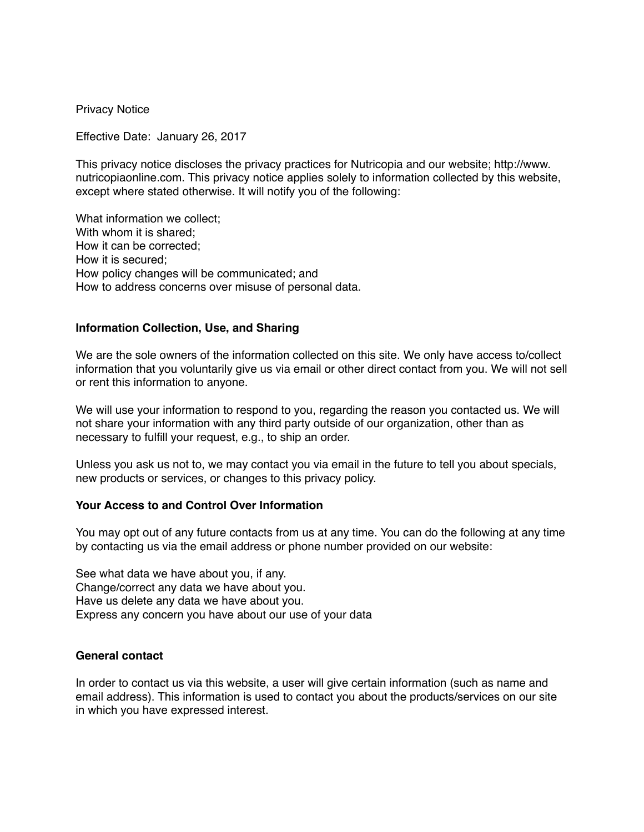Privacy Notice

Effective Date: January 26, 2017

This privacy notice discloses the privacy practices for Nutricopia and our website; http://www. nutricopiaonline.com. This privacy notice applies solely to information collected by this website, except where stated otherwise. It will notify you of the following:

What information we collect; With whom it is shared; How it can be corrected; How it is secured; How policy changes will be communicated; and How to address concerns over misuse of personal data.

## **Information Collection, Use, and Sharing**

We are the sole owners of the information collected on this site. We only have access to/collect information that you voluntarily give us via email or other direct contact from you. We will not sell or rent this information to anyone.

We will use your information to respond to you, regarding the reason you contacted us. We will not share your information with any third party outside of our organization, other than as necessary to fulfill your request, e.g., to ship an order.

Unless you ask us not to, we may contact you via email in the future to tell you about specials, new products or services, or changes to this privacy policy.

#### **Your Access to and Control Over Information**

You may opt out of any future contacts from us at any time. You can do the following at any time by contacting us via the email address or phone number provided on our website:

See what data we have about you, if any. Change/correct any data we have about you. Have us delete any data we have about you. Express any concern you have about our use of your data

#### **General contact**

In order to contact us via this website, a user will give certain information (such as name and email address). This information is used to contact you about the products/services on our site in which you have expressed interest.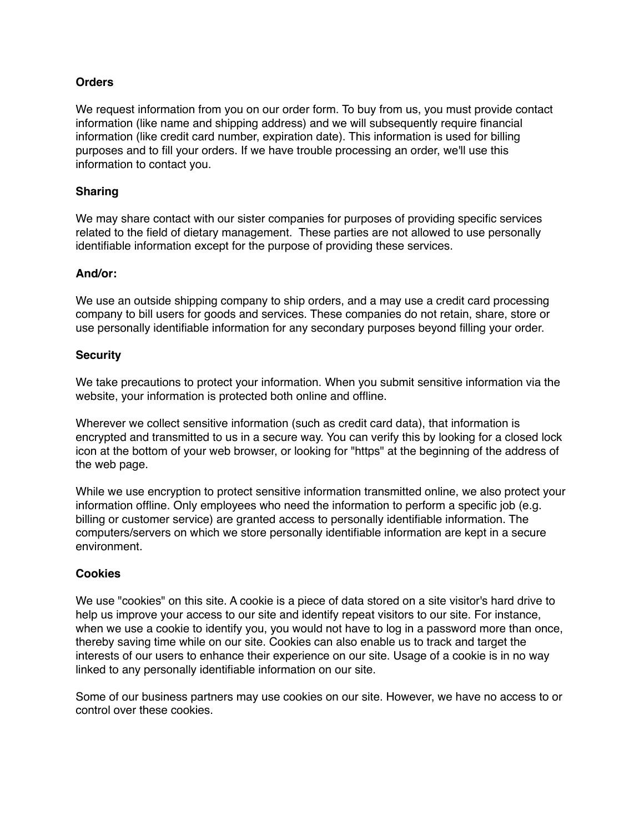# **Orders**

We request information from you on our order form. To buy from us, you must provide contact information (like name and shipping address) and we will subsequently require financial information (like credit card number, expiration date). This information is used for billing purposes and to fill your orders. If we have trouble processing an order, we'll use this information to contact you.

## **Sharing**

We may share contact with our sister companies for purposes of providing specific services related to the field of dietary management. These parties are not allowed to use personally identifiable information except for the purpose of providing these services.

## **And/or:**

We use an outside shipping company to ship orders, and a may use a credit card processing company to bill users for goods and services. These companies do not retain, share, store or use personally identifiable information for any secondary purposes beyond filling your order.

## **Security**

We take precautions to protect your information. When you submit sensitive information via the website, your information is protected both online and offline.

Wherever we collect sensitive information (such as credit card data), that information is encrypted and transmitted to us in a secure way. You can verify this by looking for a closed lock icon at the bottom of your web browser, or looking for "https" at the beginning of the address of the web page.

While we use encryption to protect sensitive information transmitted online, we also protect your information offline. Only employees who need the information to perform a specific job (e.g. billing or customer service) are granted access to personally identifiable information. The computers/servers on which we store personally identifiable information are kept in a secure environment.

## **Cookies**

We use "cookies" on this site. A cookie is a piece of data stored on a site visitor's hard drive to help us improve your access to our site and identify repeat visitors to our site. For instance, when we use a cookie to identify you, you would not have to log in a password more than once, thereby saving time while on our site. Cookies can also enable us to track and target the interests of our users to enhance their experience on our site. Usage of a cookie is in no way linked to any personally identifiable information on our site.

Some of our business partners may use cookies on our site. However, we have no access to or control over these cookies.